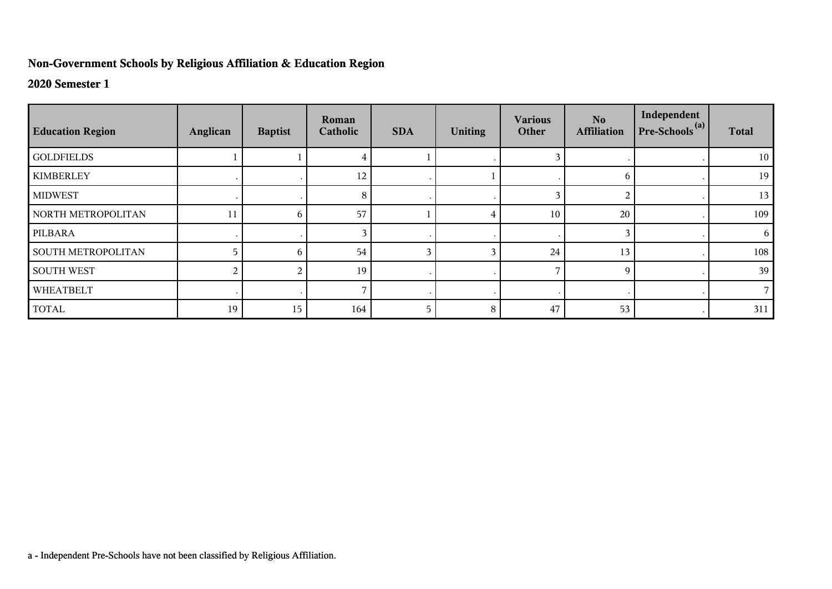## **Non-Government Schools by Religious Affiliation & Education Region**

## **2020 Semester 1**

| <b>Education Region</b>   | Anglican | <b>Baptist</b> | Roman<br>Catholic | <b>SDA</b> | <b>Uniting</b> | <b>Various</b><br>Other | No.<br><b>Affiliation</b> | Independent<br>$Pre-Schools(a)$ | <b>Total</b> |
|---------------------------|----------|----------------|-------------------|------------|----------------|-------------------------|---------------------------|---------------------------------|--------------|
| <b>GOLDFIELDS</b>         |          |                |                   |            |                | 3                       |                           |                                 | 10           |
| <b>KIMBERLEY</b>          |          |                | 12                |            |                |                         | 6                         |                                 | 19           |
| <b>MIDWEST</b>            |          |                | 8                 |            |                | 3                       | 2                         |                                 | 13           |
| NORTH METROPOLITAN        | 11       | 6              | 57                |            |                | 10                      | 20                        |                                 | 109          |
| PILBARA                   |          |                |                   |            |                |                         | 3                         |                                 | 6            |
| <b>SOUTH METROPOLITAN</b> |          | 6              | 54                |            |                | 24                      | 13                        |                                 | 108          |
| <b>SOUTH WEST</b>         |          |                | 19                |            |                | ⇁                       | 9                         |                                 | 39           |
| WHEATBELT                 |          |                |                   |            |                |                         |                           |                                 |              |
| <b>TOTAL</b>              | 19       | 15             | 164               | 5          | 8              | 47                      | 53                        |                                 | 311          |